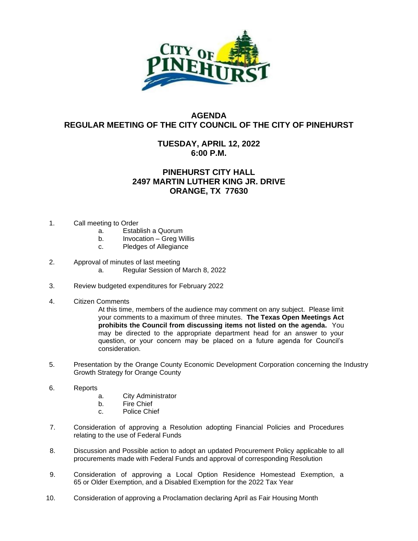

## **AGENDA REGULAR MEETING OF THE CITY COUNCIL OF THE CITY OF PINEHURST**

## **TUESDAY, APRIL 12, 2022 6:00 P.M.**

## **PINEHURST CITY HALL 2497 MARTIN LUTHER KING JR. DRIVE ORANGE, TX 77630**

- 1. Call meeting to Order
	- a. Establish a Quorum
	- b. Invocation Greg Willis
	- c. Pledges of Allegiance

## 2. Approval of minutes of last meeting

- a. Regular Session of March 8, 2022
- 3. Review budgeted expenditures for February 2022
- 4. Citizen Comments

At this time, members of the audience may comment on any subject. Please limit your comments to a maximum of three minutes. **The Texas Open Meetings Act prohibits the Council from discussing items not listed on the agenda.** You may be directed to the appropriate department head for an answer to your question, or your concern may be placed on a future agenda for Council's consideration.

- 5. Presentation by the Orange County Economic Development Corporation concerning the Industry Growth Strategy for Orange County
- 6. Reports
	- a. City Administrator
	- b. Fire Chief
	- c. Police Chief
- 7. Consideration of approving a Resolution adopting Financial Policies and Procedures relating to the use of Federal Funds
- 8. Discussion and Possible action to adopt an updated Procurement Policy applicable to all procurements made with Federal Funds and approval of corresponding Resolution
- 9. Consideration of approving a Local Option Residence Homestead Exemption, a 65 or Older Exemption, and a Disabled Exemption for the 2022 Tax Year
- 10. Consideration of approving a Proclamation declaring April as Fair Housing Month